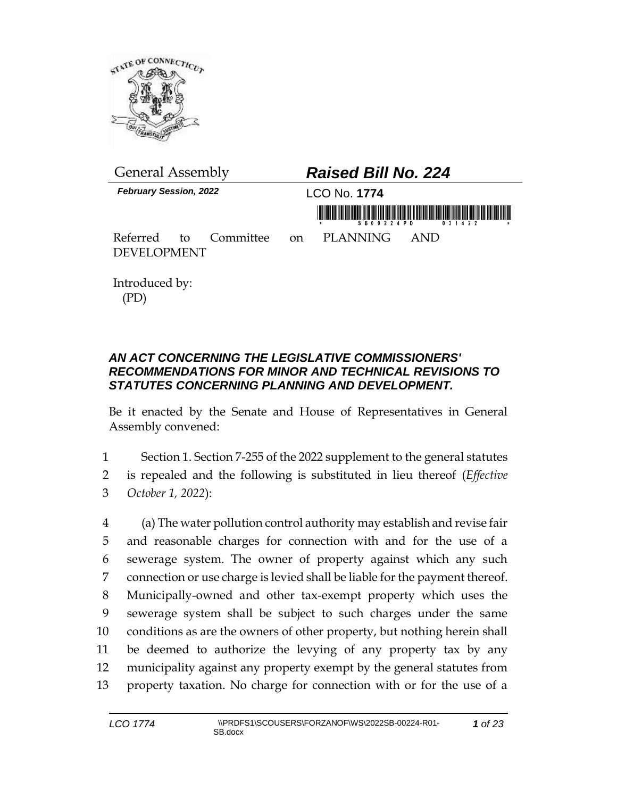

| <b>General Assembly</b>                                     | <b>Raised Bill No. 224</b>                                          |
|-------------------------------------------------------------|---------------------------------------------------------------------|
| <b>February Session, 2022</b>                               | LCO No. 1774<br>$S$ $R$ $A$ $D$ $A$ $P$ $D$ $R$ $R$ $A$ $A$ $D$ $D$ |
| Referred to Committee on PLANNING AND<br><b>DEVELOPMENT</b> |                                                                     |

Introduced by: (PD)

## *AN ACT CONCERNING THE LEGISLATIVE COMMISSIONERS' RECOMMENDATIONS FOR MINOR AND TECHNICAL REVISIONS TO STATUTES CONCERNING PLANNING AND DEVELOPMENT.*

Be it enacted by the Senate and House of Representatives in General Assembly convened:

1 Section 1. Section 7-255 of the 2022 supplement to the general statutes 2 is repealed and the following is substituted in lieu thereof (*Effective*  3 *October 1, 2022*):

 (a) The water pollution control authority may establish and revise fair and reasonable charges for connection with and for the use of a sewerage system. The owner of property against which any such connection or use charge is levied shall be liable for the payment thereof. Municipally-owned and other tax-exempt property which uses the sewerage system shall be subject to such charges under the same conditions as are the owners of other property, but nothing herein shall be deemed to authorize the levying of any property tax by any municipality against any property exempt by the general statutes from property taxation. No charge for connection with or for the use of a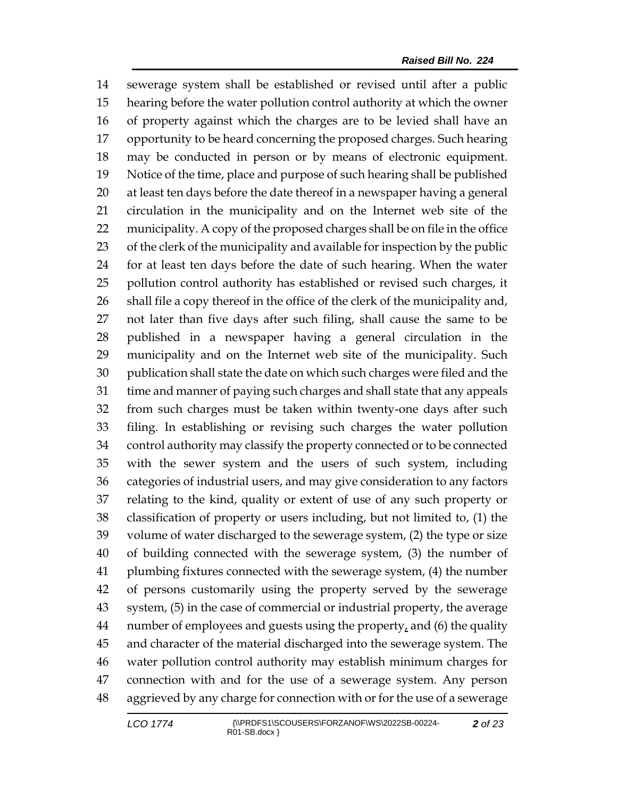sewerage system shall be established or revised until after a public hearing before the water pollution control authority at which the owner of property against which the charges are to be levied shall have an opportunity to be heard concerning the proposed charges. Such hearing may be conducted in person or by means of electronic equipment. Notice of the time, place and purpose of such hearing shall be published at least ten days before the date thereof in a newspaper having a general circulation in the municipality and on the Internet web site of the municipality. A copy of the proposed charges shall be on file in the office of the clerk of the municipality and available for inspection by the public for at least ten days before the date of such hearing. When the water pollution control authority has established or revised such charges, it shall file a copy thereof in the office of the clerk of the municipality and, not later than five days after such filing, shall cause the same to be published in a newspaper having a general circulation in the municipality and on the Internet web site of the municipality. Such publication shall state the date on which such charges were filed and the time and manner of paying such charges and shall state that any appeals from such charges must be taken within twenty-one days after such filing. In establishing or revising such charges the water pollution control authority may classify the property connected or to be connected with the sewer system and the users of such system, including categories of industrial users, and may give consideration to any factors relating to the kind, quality or extent of use of any such property or classification of property or users including, but not limited to, (1) the volume of water discharged to the sewerage system, (2) the type or size of building connected with the sewerage system, (3) the number of plumbing fixtures connected with the sewerage system, (4) the number of persons customarily using the property served by the sewerage system, (5) in the case of commercial or industrial property, the average 44 number of employees and guests using the property, and (6) the quality and character of the material discharged into the sewerage system. The water pollution control authority may establish minimum charges for connection with and for the use of a sewerage system. Any person aggrieved by any charge for connection with or for the use of a sewerage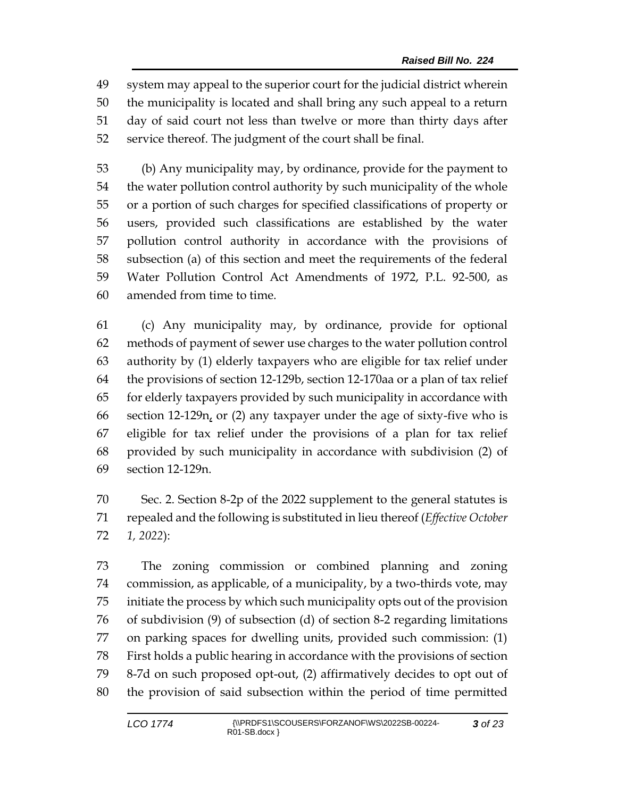system may appeal to the superior court for the judicial district wherein the municipality is located and shall bring any such appeal to a return day of said court not less than twelve or more than thirty days after service thereof. The judgment of the court shall be final.

 (b) Any municipality may, by ordinance, provide for the payment to the water pollution control authority by such municipality of the whole or a portion of such charges for specified classifications of property or users, provided such classifications are established by the water pollution control authority in accordance with the provisions of subsection (a) of this section and meet the requirements of the federal Water Pollution Control Act Amendments of 1972, P.L. 92-500, as amended from time to time.

 (c) Any municipality may, by ordinance, provide for optional methods of payment of sewer use charges to the water pollution control authority by (1) elderly taxpayers who are eligible for tax relief under the provisions of section 12-129b, section 12-170aa or a plan of tax relief for elderly taxpayers provided by such municipality in accordance with section 12-129n, or (2) any taxpayer under the age of sixty-five who is eligible for tax relief under the provisions of a plan for tax relief provided by such municipality in accordance with subdivision (2) of section 12-129n.

 Sec. 2. Section 8-2p of the 2022 supplement to the general statutes is repealed and the following is substituted in lieu thereof (*Effective October 1, 2022*):

 The zoning commission or combined planning and zoning commission, as applicable, of a municipality, by a two-thirds vote, may initiate the process by which such municipality opts out of the provision of subdivision (9) of subsection (d) of section 8-2 regarding limitations on parking spaces for dwelling units, provided such commission: (1) First holds a public hearing in accordance with the provisions of section 8-7d on such proposed opt-out, (2) affirmatively decides to opt out of the provision of said subsection within the period of time permitted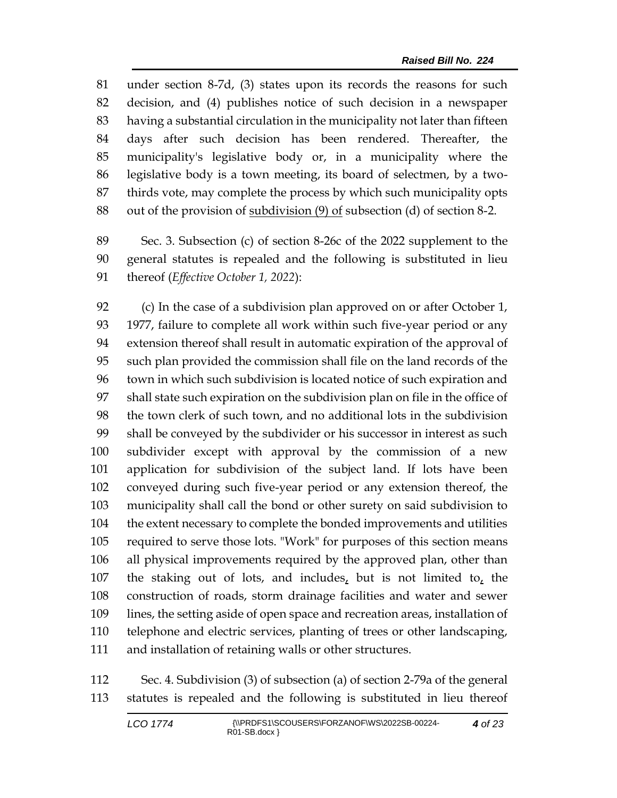under section 8-7d, (3) states upon its records the reasons for such decision, and (4) publishes notice of such decision in a newspaper having a substantial circulation in the municipality not later than fifteen days after such decision has been rendered. Thereafter, the municipality's legislative body or, in a municipality where the legislative body is a town meeting, its board of selectmen, by a two- thirds vote, may complete the process by which such municipality opts out of the provision of subdivision (9) of subsection (d) of section 8-2.

 Sec. 3. Subsection (c) of section 8-26c of the 2022 supplement to the general statutes is repealed and the following is substituted in lieu thereof (*Effective October 1, 2022*):

 (c) In the case of a subdivision plan approved on or after October 1, 1977, failure to complete all work within such five-year period or any extension thereof shall result in automatic expiration of the approval of such plan provided the commission shall file on the land records of the town in which such subdivision is located notice of such expiration and shall state such expiration on the subdivision plan on file in the office of the town clerk of such town, and no additional lots in the subdivision shall be conveyed by the subdivider or his successor in interest as such subdivider except with approval by the commission of a new application for subdivision of the subject land. If lots have been conveyed during such five-year period or any extension thereof, the municipality shall call the bond or other surety on said subdivision to the extent necessary to complete the bonded improvements and utilities required to serve those lots. "Work" for purposes of this section means all physical improvements required by the approved plan, other than the staking out of lots, and includes, but is not limited to, the construction of roads, storm drainage facilities and water and sewer lines, the setting aside of open space and recreation areas, installation of telephone and electric services, planting of trees or other landscaping, and installation of retaining walls or other structures.

 Sec. 4. Subdivision (3) of subsection (a) of section 2-79a of the general statutes is repealed and the following is substituted in lieu thereof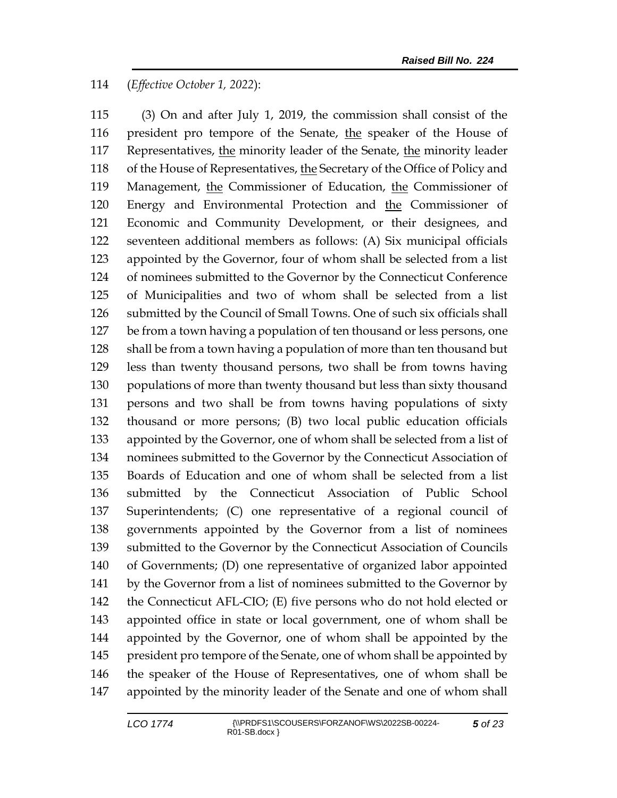## (*Effective October 1, 2022*):

 (3) On and after July 1, 2019, the commission shall consist of the president pro tempore of the Senate, the speaker of the House of Representatives, the minority leader of the Senate, the minority leader 118 of the House of Representatives, the Secretary of the Office of Policy and 119 Management, the Commissioner of Education, the Commissioner of Energy and Environmental Protection and the Commissioner of Economic and Community Development, or their designees, and seventeen additional members as follows: (A) Six municipal officials appointed by the Governor, four of whom shall be selected from a list of nominees submitted to the Governor by the Connecticut Conference of Municipalities and two of whom shall be selected from a list submitted by the Council of Small Towns. One of such six officials shall be from a town having a population of ten thousand or less persons, one shall be from a town having a population of more than ten thousand but less than twenty thousand persons, two shall be from towns having populations of more than twenty thousand but less than sixty thousand persons and two shall be from towns having populations of sixty thousand or more persons; (B) two local public education officials appointed by the Governor, one of whom shall be selected from a list of nominees submitted to the Governor by the Connecticut Association of Boards of Education and one of whom shall be selected from a list submitted by the Connecticut Association of Public School Superintendents; (C) one representative of a regional council of governments appointed by the Governor from a list of nominees submitted to the Governor by the Connecticut Association of Councils of Governments; (D) one representative of organized labor appointed by the Governor from a list of nominees submitted to the Governor by the Connecticut AFL-CIO; (E) five persons who do not hold elected or appointed office in state or local government, one of whom shall be appointed by the Governor, one of whom shall be appointed by the 145 president pro tempore of the Senate, one of whom shall be appointed by the speaker of the House of Representatives, one of whom shall be appointed by the minority leader of the Senate and one of whom shall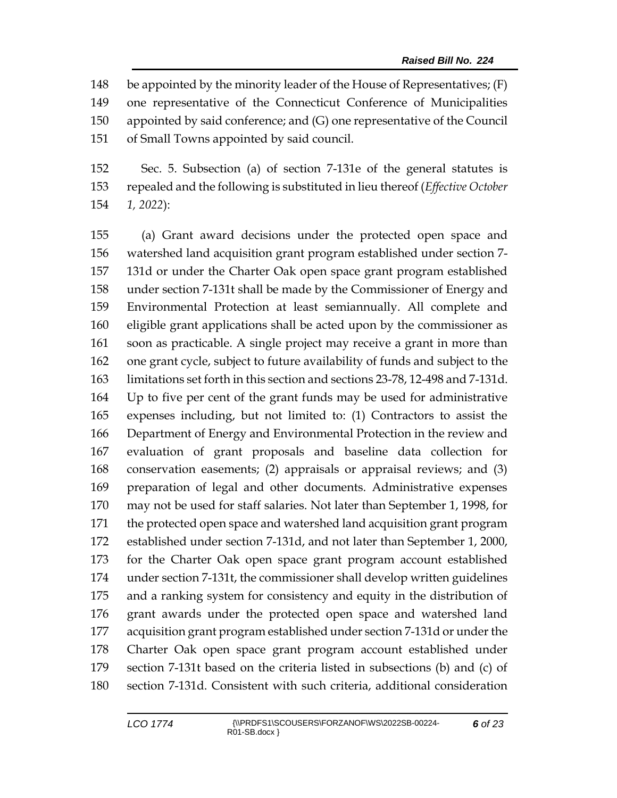be appointed by the minority leader of the House of Representatives; (F) one representative of the Connecticut Conference of Municipalities appointed by said conference; and (G) one representative of the Council of Small Towns appointed by said council.

 Sec. 5. Subsection (a) of section 7-131e of the general statutes is repealed and the following is substituted in lieu thereof (*Effective October 1, 2022*):

 (a) Grant award decisions under the protected open space and watershed land acquisition grant program established under section 7- 131d or under the Charter Oak open space grant program established under section 7-131t shall be made by the Commissioner of Energy and Environmental Protection at least semiannually. All complete and eligible grant applications shall be acted upon by the commissioner as soon as practicable. A single project may receive a grant in more than one grant cycle, subject to future availability of funds and subject to the limitations set forth in this section and sections 23-78, 12-498 and 7-131d. Up to five per cent of the grant funds may be used for administrative expenses including, but not limited to: (1) Contractors to assist the Department of Energy and Environmental Protection in the review and evaluation of grant proposals and baseline data collection for conservation easements; (2) appraisals or appraisal reviews; and (3) preparation of legal and other documents. Administrative expenses may not be used for staff salaries. Not later than September 1, 1998, for the protected open space and watershed land acquisition grant program established under section 7-131d, and not later than September 1, 2000, for the Charter Oak open space grant program account established under section 7-131t, the commissioner shall develop written guidelines and a ranking system for consistency and equity in the distribution of grant awards under the protected open space and watershed land acquisition grant program established under section 7-131d or under the Charter Oak open space grant program account established under section 7-131t based on the criteria listed in subsections (b) and (c) of section 7-131d. Consistent with such criteria, additional consideration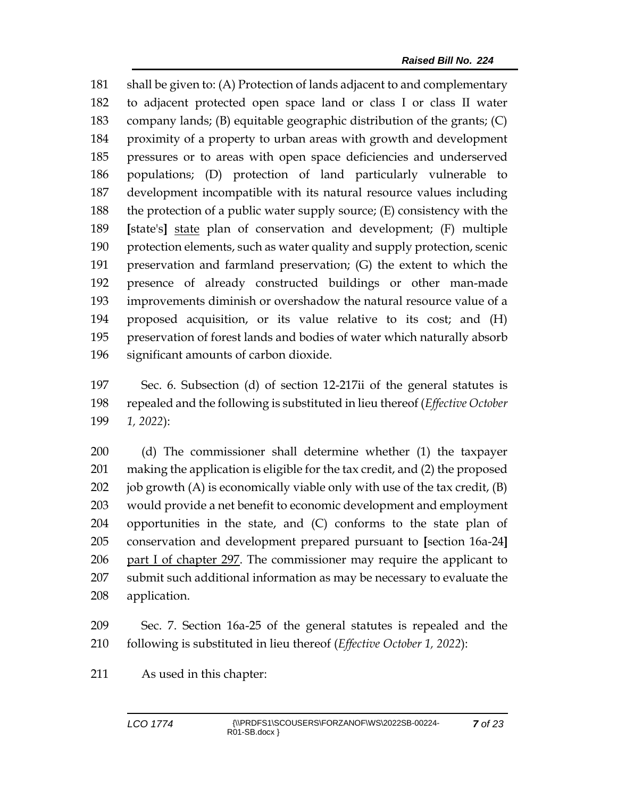shall be given to: (A) Protection of lands adjacent to and complementary to adjacent protected open space land or class I or class II water company lands; (B) equitable geographic distribution of the grants; (C) proximity of a property to urban areas with growth and development pressures or to areas with open space deficiencies and underserved populations; (D) protection of land particularly vulnerable to development incompatible with its natural resource values including the protection of a public water supply source; (E) consistency with the **[**state's**]** state plan of conservation and development; (F) multiple protection elements, such as water quality and supply protection, scenic preservation and farmland preservation; (G) the extent to which the presence of already constructed buildings or other man-made improvements diminish or overshadow the natural resource value of a proposed acquisition, or its value relative to its cost; and (H) preservation of forest lands and bodies of water which naturally absorb significant amounts of carbon dioxide.

 Sec. 6. Subsection (d) of section 12-217ii of the general statutes is repealed and the following is substituted in lieu thereof (*Effective October 1, 2022*):

 (d) The commissioner shall determine whether (1) the taxpayer making the application is eligible for the tax credit, and (2) the proposed 202 job growth  $(A)$  is economically viable only with use of the tax credit,  $(B)$  would provide a net benefit to economic development and employment opportunities in the state, and (C) conforms to the state plan of conservation and development prepared pursuant to **[**section 16a-24**]** part I of chapter 297. The commissioner may require the applicant to submit such additional information as may be necessary to evaluate the application.

 Sec. 7. Section 16a-25 of the general statutes is repealed and the following is substituted in lieu thereof (*Effective October 1, 2022*):

As used in this chapter: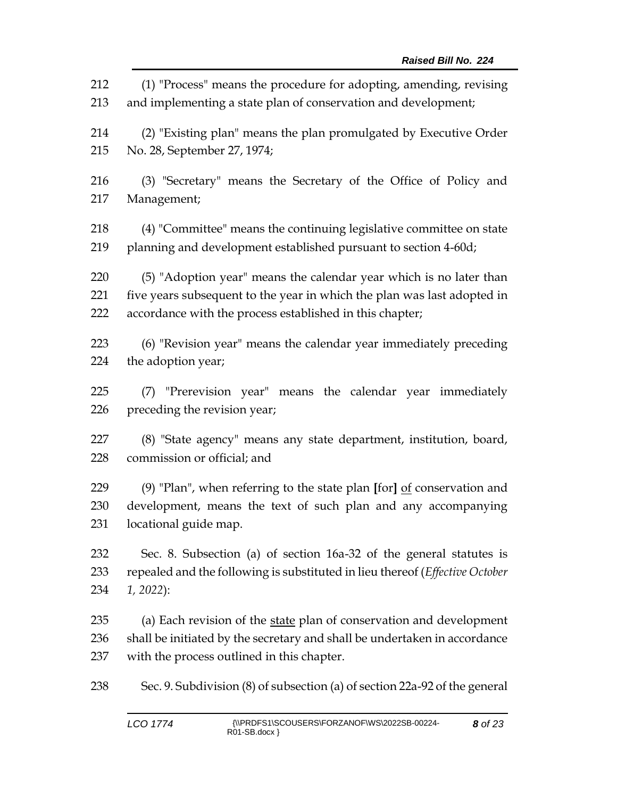(1) "Process" means the procedure for adopting, amending, revising and implementing a state plan of conservation and development; (2) "Existing plan" means the plan promulgated by Executive Order No. 28, September 27, 1974; (3) "Secretary" means the Secretary of the Office of Policy and Management; (4) "Committee" means the continuing legislative committee on state planning and development established pursuant to section 4-60d; (5) "Adoption year" means the calendar year which is no later than five years subsequent to the year in which the plan was last adopted in accordance with the process established in this chapter; (6) "Revision year" means the calendar year immediately preceding the adoption year; (7) "Prerevision year" means the calendar year immediately preceding the revision year; (8) "State agency" means any state department, institution, board, commission or official; and (9) "Plan", when referring to the state plan **[**for**]** of conservation and development, means the text of such plan and any accompanying locational guide map. Sec. 8. Subsection (a) of section 16a-32 of the general statutes is repealed and the following is substituted in lieu thereof (*Effective October 1, 2022*): (a) Each revision of the state plan of conservation and development shall be initiated by the secretary and shall be undertaken in accordance with the process outlined in this chapter. Sec. 9. Subdivision (8) of subsection (a) of section 22a-92 of the general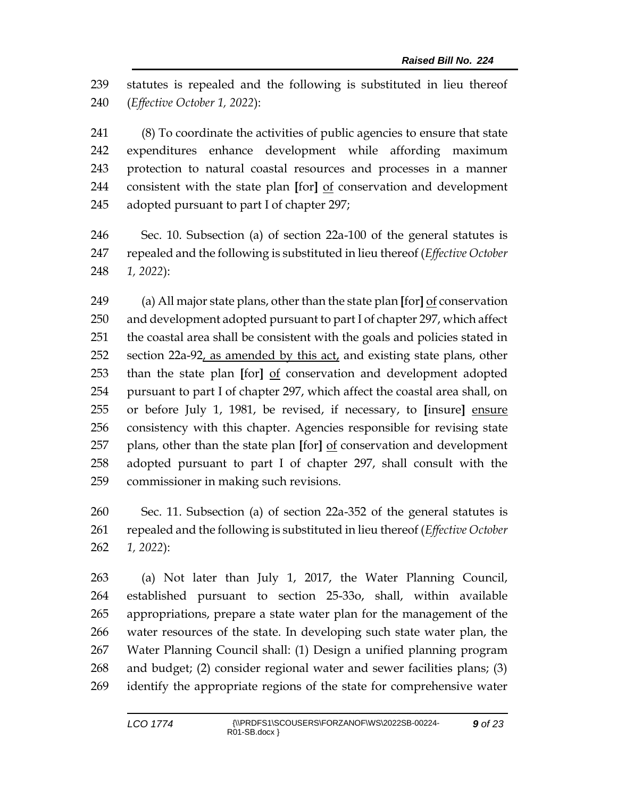statutes is repealed and the following is substituted in lieu thereof (*Effective October 1, 2022*):

 (8) To coordinate the activities of public agencies to ensure that state expenditures enhance development while affording maximum protection to natural coastal resources and processes in a manner consistent with the state plan **[**for**]** of conservation and development adopted pursuant to part I of chapter 297;

 Sec. 10. Subsection (a) of section 22a-100 of the general statutes is repealed and the following is substituted in lieu thereof (*Effective October 1, 2022*):

 (a) All major state plans, other than the state plan **[**for**]** of conservation and development adopted pursuant to part I of chapter 297, which affect the coastal area shall be consistent with the goals and policies stated in section 22a-92, as amended by this act, and existing state plans, other than the state plan **[**for**]** of conservation and development adopted pursuant to part I of chapter 297, which affect the coastal area shall, on or before July 1, 1981, be revised, if necessary, to **[**insure**]** ensure consistency with this chapter. Agencies responsible for revising state plans, other than the state plan **[**for**]** of conservation and development adopted pursuant to part I of chapter 297, shall consult with the commissioner in making such revisions.

 Sec. 11. Subsection (a) of section 22a-352 of the general statutes is repealed and the following is substituted in lieu thereof (*Effective October 1, 2022*):

 (a) Not later than July 1, 2017, the Water Planning Council, established pursuant to section 25-33o, shall, within available appropriations, prepare a state water plan for the management of the water resources of the state. In developing such state water plan, the Water Planning Council shall: (1) Design a unified planning program and budget; (2) consider regional water and sewer facilities plans; (3) identify the appropriate regions of the state for comprehensive water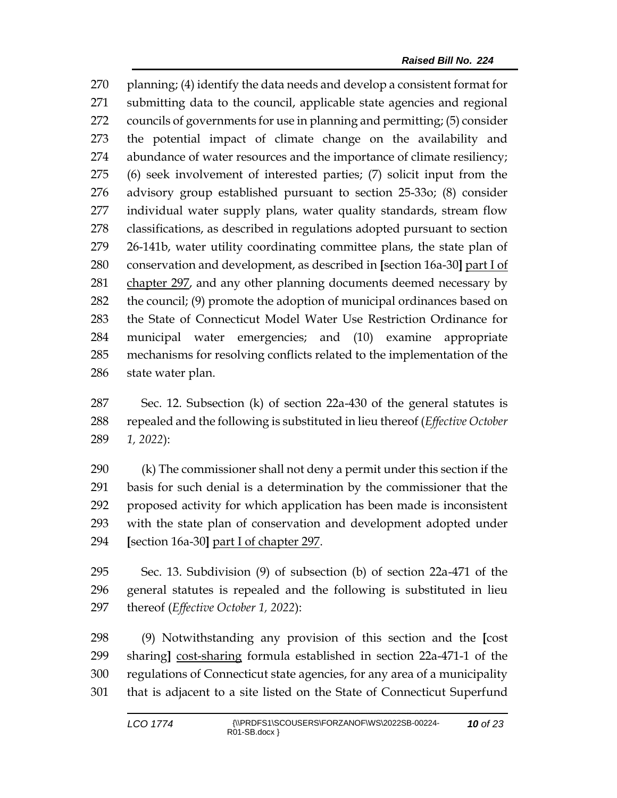planning; (4) identify the data needs and develop a consistent format for submitting data to the council, applicable state agencies and regional councils of governments for use in planning and permitting; (5) consider the potential impact of climate change on the availability and abundance of water resources and the importance of climate resiliency; (6) seek involvement of interested parties; (7) solicit input from the advisory group established pursuant to section 25-33o; (8) consider individual water supply plans, water quality standards, stream flow classifications, as described in regulations adopted pursuant to section 26-141b, water utility coordinating committee plans, the state plan of conservation and development, as described in **[**section 16a-30**]** part I of chapter 297, and any other planning documents deemed necessary by the council; (9) promote the adoption of municipal ordinances based on the State of Connecticut Model Water Use Restriction Ordinance for municipal water emergencies; and (10) examine appropriate mechanisms for resolving conflicts related to the implementation of the state water plan.

 Sec. 12. Subsection (k) of section 22a-430 of the general statutes is repealed and the following is substituted in lieu thereof (*Effective October 1, 2022*):

 (k) The commissioner shall not deny a permit under this section if the basis for such denial is a determination by the commissioner that the proposed activity for which application has been made is inconsistent with the state plan of conservation and development adopted under **[**section 16a-30**]** part I of chapter 297.

 Sec. 13. Subdivision (9) of subsection (b) of section 22a-471 of the general statutes is repealed and the following is substituted in lieu thereof (*Effective October 1, 2022*):

 (9) Notwithstanding any provision of this section and the **[**cost sharing**]** cost-sharing formula established in section 22a-471-1 of the regulations of Connecticut state agencies, for any area of a municipality that is adjacent to a site listed on the State of Connecticut Superfund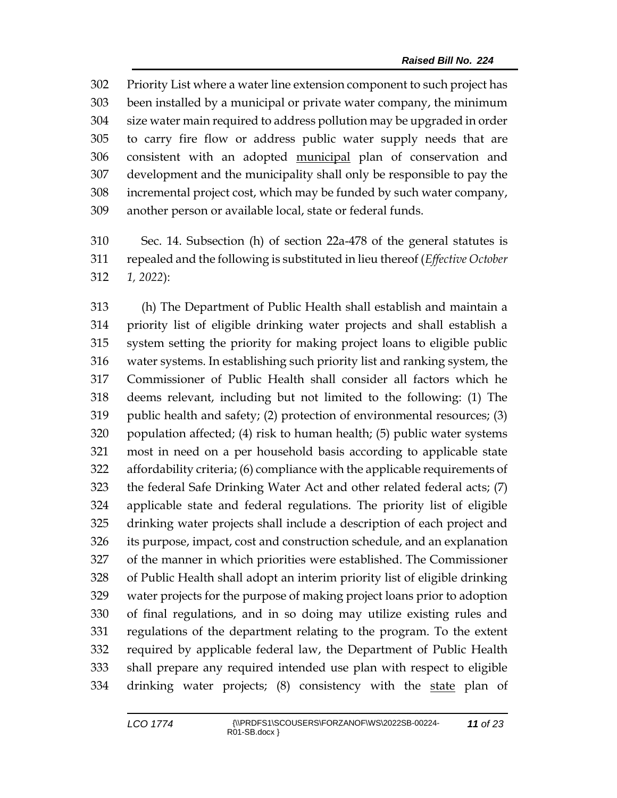Priority List where a water line extension component to such project has been installed by a municipal or private water company, the minimum size water main required to address pollution may be upgraded in order to carry fire flow or address public water supply needs that are consistent with an adopted municipal plan of conservation and development and the municipality shall only be responsible to pay the incremental project cost, which may be funded by such water company, another person or available local, state or federal funds.

 Sec. 14. Subsection (h) of section 22a-478 of the general statutes is repealed and the following is substituted in lieu thereof (*Effective October 1, 2022*):

 (h) The Department of Public Health shall establish and maintain a priority list of eligible drinking water projects and shall establish a system setting the priority for making project loans to eligible public water systems. In establishing such priority list and ranking system, the Commissioner of Public Health shall consider all factors which he deems relevant, including but not limited to the following: (1) The 319 public health and safety; (2) protection of environmental resources; (3) population affected; (4) risk to human health; (5) public water systems most in need on a per household basis according to applicable state affordability criteria; (6) compliance with the applicable requirements of the federal Safe Drinking Water Act and other related federal acts; (7) applicable state and federal regulations. The priority list of eligible drinking water projects shall include a description of each project and its purpose, impact, cost and construction schedule, and an explanation of the manner in which priorities were established. The Commissioner of Public Health shall adopt an interim priority list of eligible drinking water projects for the purpose of making project loans prior to adoption of final regulations, and in so doing may utilize existing rules and regulations of the department relating to the program. To the extent required by applicable federal law, the Department of Public Health shall prepare any required intended use plan with respect to eligible 334 drinking water projects; (8) consistency with the state plan of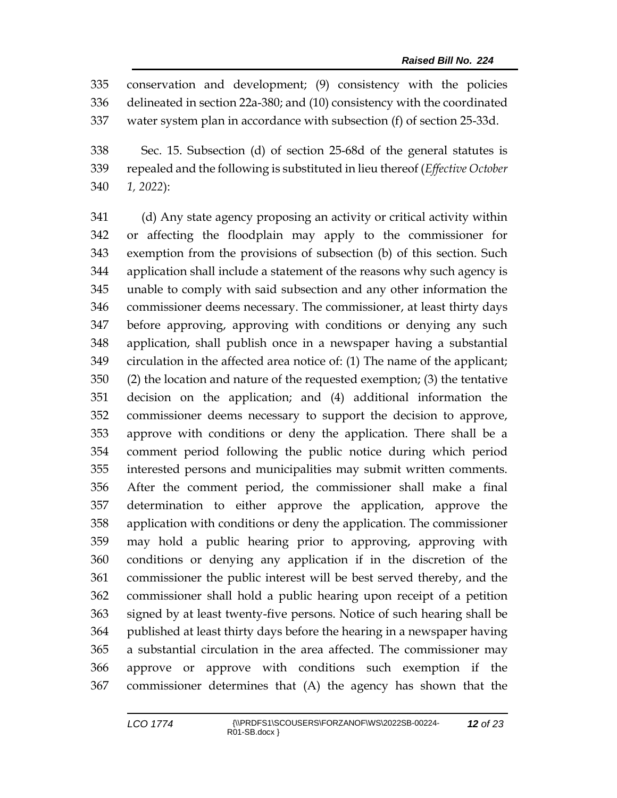conservation and development; (9) consistency with the policies delineated in section 22a-380; and (10) consistency with the coordinated water system plan in accordance with subsection (f) of section 25-33d.

 Sec. 15. Subsection (d) of section 25-68d of the general statutes is repealed and the following is substituted in lieu thereof (*Effective October 1, 2022*):

 (d) Any state agency proposing an activity or critical activity within or affecting the floodplain may apply to the commissioner for exemption from the provisions of subsection (b) of this section. Such application shall include a statement of the reasons why such agency is unable to comply with said subsection and any other information the commissioner deems necessary. The commissioner, at least thirty days before approving, approving with conditions or denying any such application, shall publish once in a newspaper having a substantial circulation in the affected area notice of: (1) The name of the applicant; (2) the location and nature of the requested exemption; (3) the tentative decision on the application; and (4) additional information the commissioner deems necessary to support the decision to approve, approve with conditions or deny the application. There shall be a comment period following the public notice during which period interested persons and municipalities may submit written comments. After the comment period, the commissioner shall make a final determination to either approve the application, approve the application with conditions or deny the application. The commissioner may hold a public hearing prior to approving, approving with conditions or denying any application if in the discretion of the commissioner the public interest will be best served thereby, and the commissioner shall hold a public hearing upon receipt of a petition signed by at least twenty-five persons. Notice of such hearing shall be published at least thirty days before the hearing in a newspaper having a substantial circulation in the area affected. The commissioner may approve or approve with conditions such exemption if the commissioner determines that (A) the agency has shown that the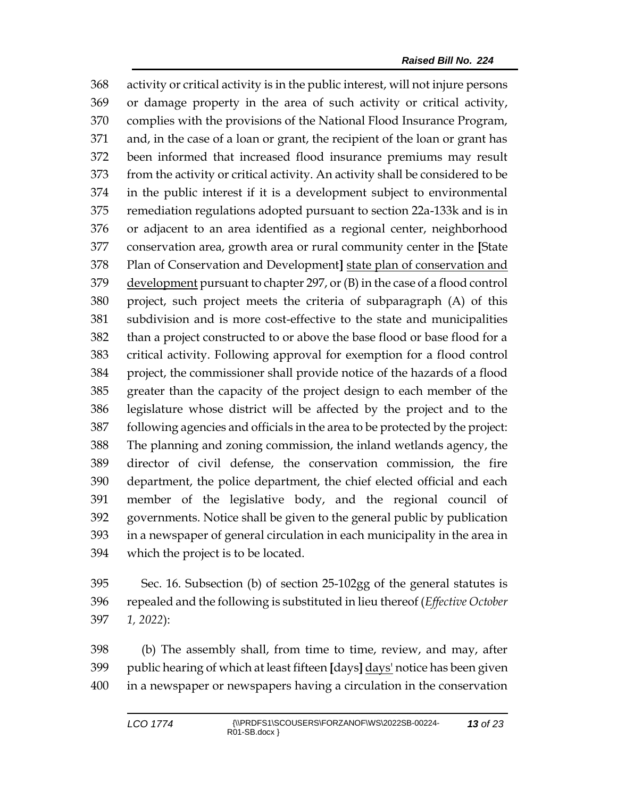activity or critical activity is in the public interest, will not injure persons or damage property in the area of such activity or critical activity, complies with the provisions of the National Flood Insurance Program, and, in the case of a loan or grant, the recipient of the loan or grant has been informed that increased flood insurance premiums may result from the activity or critical activity. An activity shall be considered to be in the public interest if it is a development subject to environmental remediation regulations adopted pursuant to section 22a-133k and is in or adjacent to an area identified as a regional center, neighborhood conservation area, growth area or rural community center in the **[**State Plan of Conservation and Development**]** state plan of conservation and development pursuant to chapter 297, or (B) in the case of a flood control project, such project meets the criteria of subparagraph (A) of this subdivision and is more cost-effective to the state and municipalities than a project constructed to or above the base flood or base flood for a critical activity. Following approval for exemption for a flood control project, the commissioner shall provide notice of the hazards of a flood greater than the capacity of the project design to each member of the legislature whose district will be affected by the project and to the following agencies and officials in the area to be protected by the project: The planning and zoning commission, the inland wetlands agency, the director of civil defense, the conservation commission, the fire department, the police department, the chief elected official and each member of the legislative body, and the regional council of governments. Notice shall be given to the general public by publication in a newspaper of general circulation in each municipality in the area in which the project is to be located.

 Sec. 16. Subsection (b) of section 25-102gg of the general statutes is repealed and the following is substituted in lieu thereof (*Effective October 1, 2022*):

 (b) The assembly shall, from time to time, review, and may, after public hearing of which at least fifteen **[**days**]** days' notice has been given in a newspaper or newspapers having a circulation in the conservation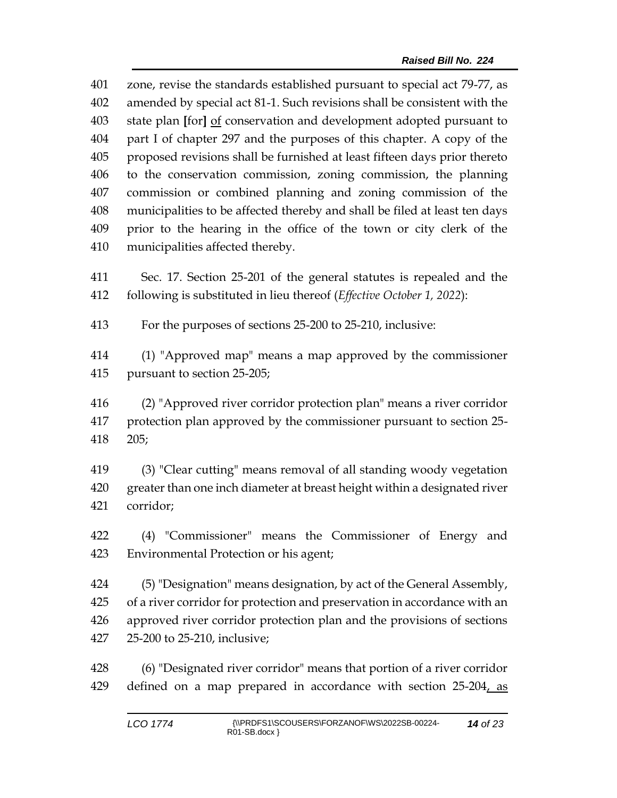zone, revise the standards established pursuant to special act 79-77, as amended by special act 81-1. Such revisions shall be consistent with the state plan **[**for**]** of conservation and development adopted pursuant to part I of chapter 297 and the purposes of this chapter. A copy of the proposed revisions shall be furnished at least fifteen days prior thereto to the conservation commission, zoning commission, the planning commission or combined planning and zoning commission of the municipalities to be affected thereby and shall be filed at least ten days prior to the hearing in the office of the town or city clerk of the municipalities affected thereby.

 Sec. 17. Section 25-201 of the general statutes is repealed and the following is substituted in lieu thereof (*Effective October 1, 2022*):

For the purposes of sections 25-200 to 25-210, inclusive:

 (1) "Approved map" means a map approved by the commissioner pursuant to section 25-205;

 (2) "Approved river corridor protection plan" means a river corridor protection plan approved by the commissioner pursuant to section 25- 205;

 (3) "Clear cutting" means removal of all standing woody vegetation greater than one inch diameter at breast height within a designated river corridor;

 (4) "Commissioner" means the Commissioner of Energy and Environmental Protection or his agent;

 (5) "Designation" means designation, by act of the General Assembly, of a river corridor for protection and preservation in accordance with an approved river corridor protection plan and the provisions of sections 25-200 to 25-210, inclusive;

 (6) "Designated river corridor" means that portion of a river corridor 429 defined on a map prepared in accordance with section 25-204, as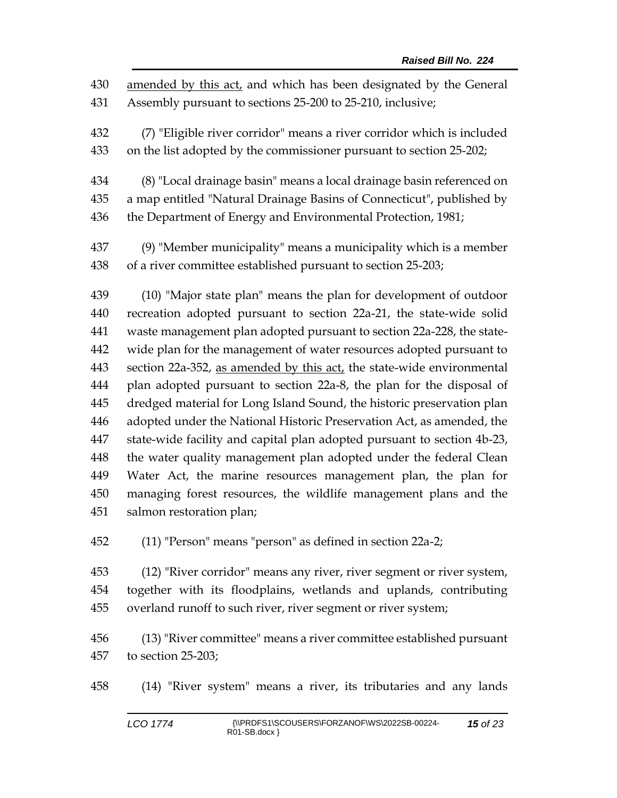amended by this act, and which has been designated by the General Assembly pursuant to sections 25-200 to 25-210, inclusive;

 (7) "Eligible river corridor" means a river corridor which is included on the list adopted by the commissioner pursuant to section 25-202;

 (8) "Local drainage basin" means a local drainage basin referenced on a map entitled "Natural Drainage Basins of Connecticut", published by the Department of Energy and Environmental Protection, 1981;

 (9) "Member municipality" means a municipality which is a member of a river committee established pursuant to section 25-203;

 (10) "Major state plan" means the plan for development of outdoor recreation adopted pursuant to section 22a-21, the state-wide solid waste management plan adopted pursuant to section 22a-228, the state- wide plan for the management of water resources adopted pursuant to section 22a-352, as amended by this act, the state-wide environmental plan adopted pursuant to section 22a-8, the plan for the disposal of dredged material for Long Island Sound, the historic preservation plan adopted under the National Historic Preservation Act, as amended, the state-wide facility and capital plan adopted pursuant to section 4b-23, the water quality management plan adopted under the federal Clean Water Act, the marine resources management plan, the plan for managing forest resources, the wildlife management plans and the salmon restoration plan;

(11) "Person" means "person" as defined in section 22a-2;

 (12) "River corridor" means any river, river segment or river system, together with its floodplains, wetlands and uplands, contributing overland runoff to such river, river segment or river system;

 (13) "River committee" means a river committee established pursuant to section 25-203;

(14) "River system" means a river, its tributaries and any lands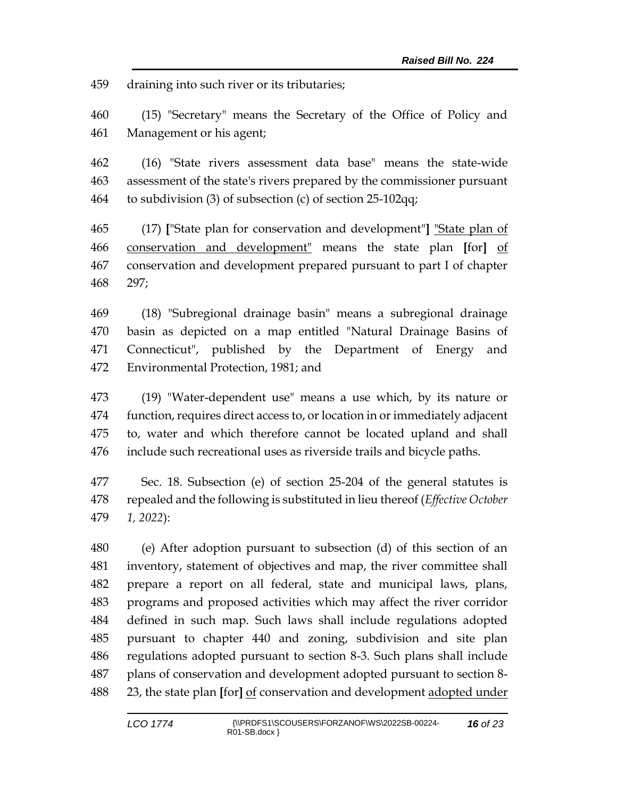draining into such river or its tributaries;

 (15) "Secretary" means the Secretary of the Office of Policy and Management or his agent;

 (16) "State rivers assessment data base" means the state-wide assessment of the state's rivers prepared by the commissioner pursuant to subdivision (3) of subsection (c) of section 25-102qq;

 (17) **[**"State plan for conservation and development"**]** "State plan of conservation and development" means the state plan **[**for**]** of conservation and development prepared pursuant to part I of chapter 297;

 (18) "Subregional drainage basin" means a subregional drainage basin as depicted on a map entitled "Natural Drainage Basins of Connecticut", published by the Department of Energy and Environmental Protection, 1981; and

 (19) "Water-dependent use" means a use which, by its nature or function, requires direct access to, or location in or immediately adjacent to, water and which therefore cannot be located upland and shall include such recreational uses as riverside trails and bicycle paths.

 Sec. 18. Subsection (e) of section 25-204 of the general statutes is repealed and the following is substituted in lieu thereof (*Effective October 1, 2022*):

 (e) After adoption pursuant to subsection (d) of this section of an inventory, statement of objectives and map, the river committee shall prepare a report on all federal, state and municipal laws, plans, programs and proposed activities which may affect the river corridor defined in such map. Such laws shall include regulations adopted pursuant to chapter 440 and zoning, subdivision and site plan regulations adopted pursuant to section 8-3. Such plans shall include plans of conservation and development adopted pursuant to section 8- 23, the state plan **[**for**]** of conservation and development adopted under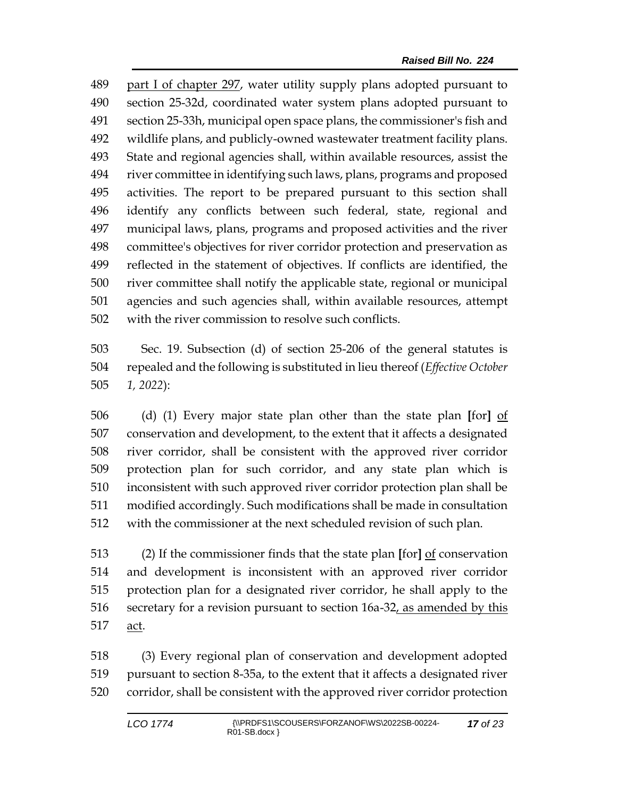part I of chapter 297, water utility supply plans adopted pursuant to section 25-32d, coordinated water system plans adopted pursuant to section 25-33h, municipal open space plans, the commissioner's fish and wildlife plans, and publicly-owned wastewater treatment facility plans. State and regional agencies shall, within available resources, assist the river committee in identifying such laws, plans, programs and proposed activities. The report to be prepared pursuant to this section shall identify any conflicts between such federal, state, regional and municipal laws, plans, programs and proposed activities and the river committee's objectives for river corridor protection and preservation as reflected in the statement of objectives. If conflicts are identified, the river committee shall notify the applicable state, regional or municipal agencies and such agencies shall, within available resources, attempt with the river commission to resolve such conflicts.

 Sec. 19. Subsection (d) of section 25-206 of the general statutes is repealed and the following is substituted in lieu thereof (*Effective October 1, 2022*):

 (d) (1) Every major state plan other than the state plan **[**for**]** of conservation and development, to the extent that it affects a designated river corridor, shall be consistent with the approved river corridor protection plan for such corridor, and any state plan which is inconsistent with such approved river corridor protection plan shall be modified accordingly. Such modifications shall be made in consultation with the commissioner at the next scheduled revision of such plan.

 (2) If the commissioner finds that the state plan **[**for**]** of conservation and development is inconsistent with an approved river corridor protection plan for a designated river corridor, he shall apply to the 516 secretary for a revision pursuant to section 16a-32, as amended by this act.

 (3) Every regional plan of conservation and development adopted pursuant to section 8-35a, to the extent that it affects a designated river corridor, shall be consistent with the approved river corridor protection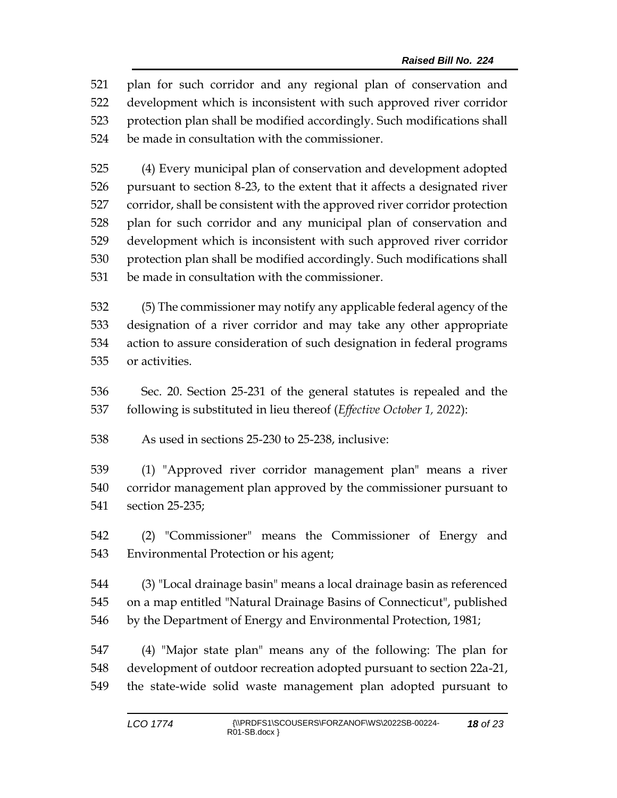plan for such corridor and any regional plan of conservation and development which is inconsistent with such approved river corridor protection plan shall be modified accordingly. Such modifications shall be made in consultation with the commissioner.

 (4) Every municipal plan of conservation and development adopted pursuant to section 8-23, to the extent that it affects a designated river corridor, shall be consistent with the approved river corridor protection plan for such corridor and any municipal plan of conservation and development which is inconsistent with such approved river corridor protection plan shall be modified accordingly. Such modifications shall be made in consultation with the commissioner.

 (5) The commissioner may notify any applicable federal agency of the designation of a river corridor and may take any other appropriate action to assure consideration of such designation in federal programs or activities.

 Sec. 20. Section 25-231 of the general statutes is repealed and the following is substituted in lieu thereof (*Effective October 1, 2022*):

As used in sections 25-230 to 25-238, inclusive:

 (1) "Approved river corridor management plan" means a river corridor management plan approved by the commissioner pursuant to section 25-235;

 (2) "Commissioner" means the Commissioner of Energy and Environmental Protection or his agent;

 (3) "Local drainage basin" means a local drainage basin as referenced on a map entitled "Natural Drainage Basins of Connecticut", published by the Department of Energy and Environmental Protection, 1981;

 (4) "Major state plan" means any of the following: The plan for development of outdoor recreation adopted pursuant to section 22a-21, the state-wide solid waste management plan adopted pursuant to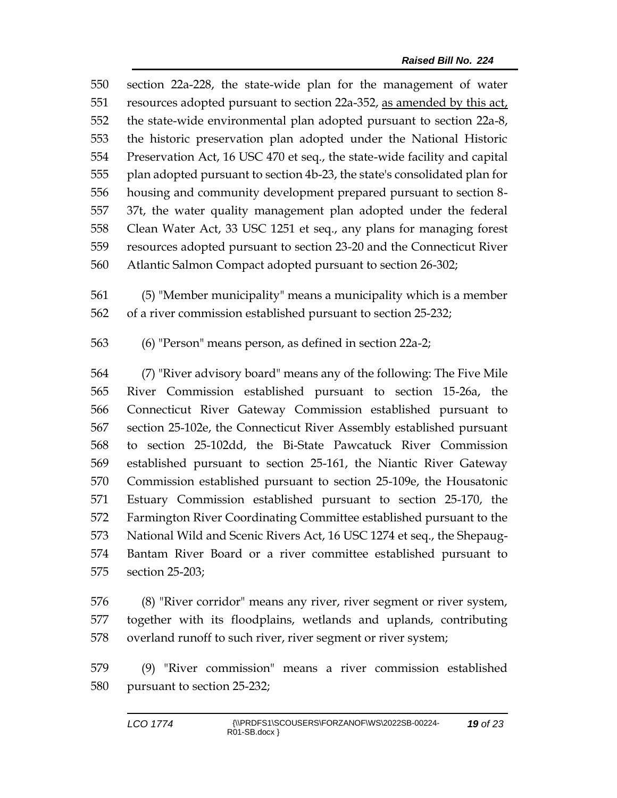section 22a-228, the state-wide plan for the management of water resources adopted pursuant to section 22a-352, as amended by this act, the state-wide environmental plan adopted pursuant to section 22a-8, the historic preservation plan adopted under the National Historic Preservation Act, 16 USC 470 et seq., the state-wide facility and capital plan adopted pursuant to section 4b-23, the state's consolidated plan for housing and community development prepared pursuant to section 8- 37t, the water quality management plan adopted under the federal Clean Water Act, 33 USC 1251 et seq., any plans for managing forest resources adopted pursuant to section 23-20 and the Connecticut River Atlantic Salmon Compact adopted pursuant to section 26-302;

 (5) "Member municipality" means a municipality which is a member of a river commission established pursuant to section 25-232;

(6) "Person" means person, as defined in section 22a-2;

 (7) "River advisory board" means any of the following: The Five Mile River Commission established pursuant to section 15-26a, the Connecticut River Gateway Commission established pursuant to section 25-102e, the Connecticut River Assembly established pursuant to section 25-102dd, the Bi-State Pawcatuck River Commission established pursuant to section 25-161, the Niantic River Gateway Commission established pursuant to section 25-109e, the Housatonic Estuary Commission established pursuant to section 25-170, the Farmington River Coordinating Committee established pursuant to the National Wild and Scenic Rivers Act, 16 USC 1274 et seq., the Shepaug- Bantam River Board or a river committee established pursuant to section 25-203;

 (8) "River corridor" means any river, river segment or river system, together with its floodplains, wetlands and uplands, contributing overland runoff to such river, river segment or river system;

 (9) "River commission" means a river commission established pursuant to section 25-232;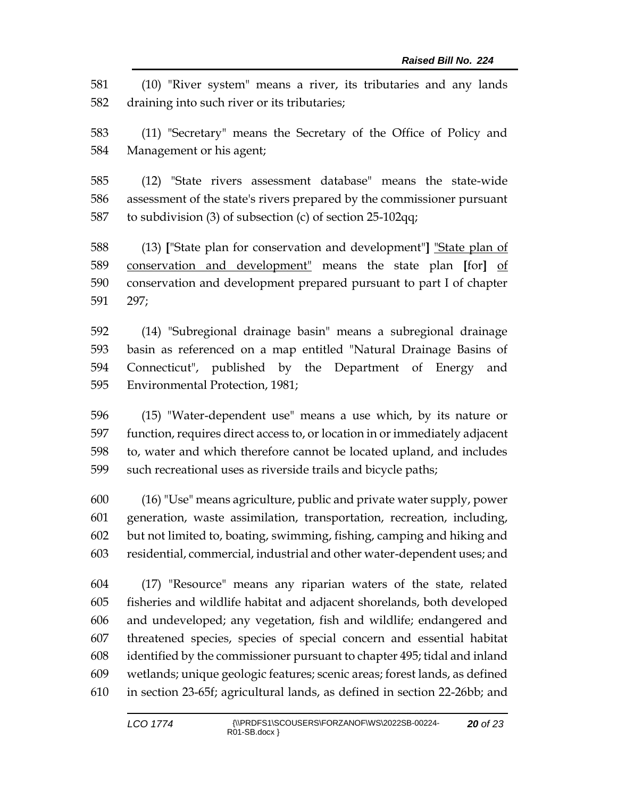(10) "River system" means a river, its tributaries and any lands draining into such river or its tributaries;

 (11) "Secretary" means the Secretary of the Office of Policy and Management or his agent;

 (12) "State rivers assessment database" means the state-wide assessment of the state's rivers prepared by the commissioner pursuant to subdivision (3) of subsection (c) of section 25-102qq;

 (13) **[**"State plan for conservation and development"**]** "State plan of conservation and development" means the state plan **[**for**]** of conservation and development prepared pursuant to part I of chapter 297;

 (14) "Subregional drainage basin" means a subregional drainage basin as referenced on a map entitled "Natural Drainage Basins of Connecticut", published by the Department of Energy and Environmental Protection, 1981;

 (15) "Water-dependent use" means a use which, by its nature or function, requires direct access to, or location in or immediately adjacent to, water and which therefore cannot be located upland, and includes such recreational uses as riverside trails and bicycle paths;

 (16) "Use" means agriculture, public and private water supply, power generation, waste assimilation, transportation, recreation, including, but not limited to, boating, swimming, fishing, camping and hiking and residential, commercial, industrial and other water-dependent uses; and

 (17) "Resource" means any riparian waters of the state, related fisheries and wildlife habitat and adjacent shorelands, both developed and undeveloped; any vegetation, fish and wildlife; endangered and threatened species, species of special concern and essential habitat identified by the commissioner pursuant to chapter 495; tidal and inland wetlands; unique geologic features; scenic areas; forest lands, as defined in section 23-65f; agricultural lands, as defined in section 22-26bb; and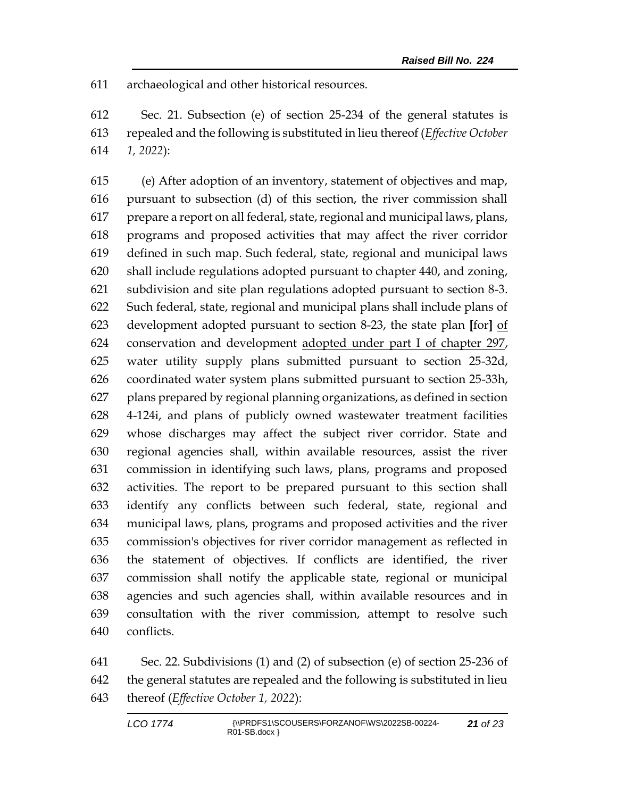archaeological and other historical resources.

 Sec. 21. Subsection (e) of section 25-234 of the general statutes is repealed and the following is substituted in lieu thereof (*Effective October 1, 2022*):

 (e) After adoption of an inventory, statement of objectives and map, pursuant to subsection (d) of this section, the river commission shall prepare a report on all federal, state, regional and municipal laws, plans, programs and proposed activities that may affect the river corridor defined in such map. Such federal, state, regional and municipal laws shall include regulations adopted pursuant to chapter 440, and zoning, subdivision and site plan regulations adopted pursuant to section 8-3. Such federal, state, regional and municipal plans shall include plans of development adopted pursuant to section 8-23, the state plan **[**for**]** of conservation and development adopted under part I of chapter 297, water utility supply plans submitted pursuant to section 25-32d, coordinated water system plans submitted pursuant to section 25-33h, plans prepared by regional planning organizations, as defined in section 4-124i, and plans of publicly owned wastewater treatment facilities whose discharges may affect the subject river corridor. State and regional agencies shall, within available resources, assist the river commission in identifying such laws, plans, programs and proposed activities. The report to be prepared pursuant to this section shall identify any conflicts between such federal, state, regional and municipal laws, plans, programs and proposed activities and the river commission's objectives for river corridor management as reflected in the statement of objectives. If conflicts are identified, the river commission shall notify the applicable state, regional or municipal agencies and such agencies shall, within available resources and in consultation with the river commission, attempt to resolve such conflicts.

 Sec. 22. Subdivisions (1) and (2) of subsection (e) of section 25-236 of the general statutes are repealed and the following is substituted in lieu thereof (*Effective October 1, 2022*):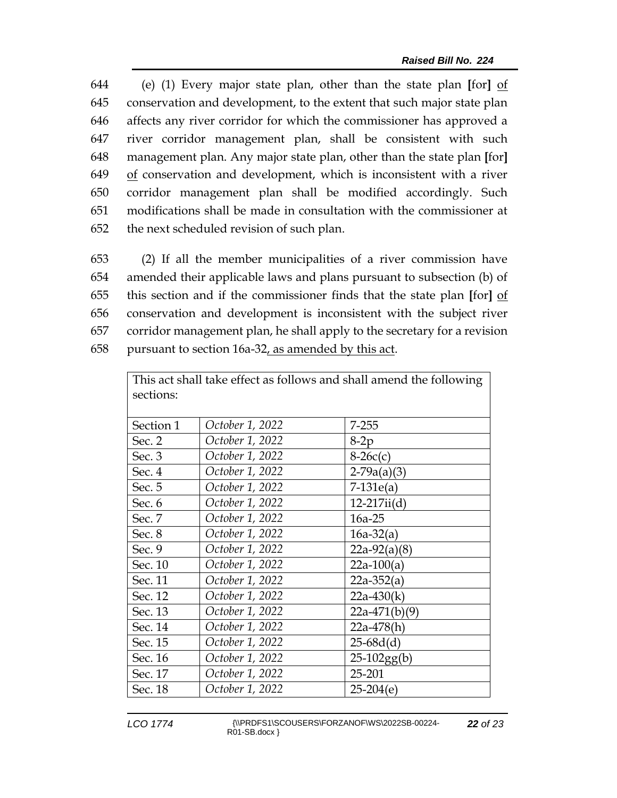(e) (1) Every major state plan, other than the state plan **[**for**]** of conservation and development, to the extent that such major state plan affects any river corridor for which the commissioner has approved a river corridor management plan, shall be consistent with such management plan. Any major state plan, other than the state plan **[**for**]** of conservation and development, which is inconsistent with a river corridor management plan shall be modified accordingly. Such modifications shall be made in consultation with the commissioner at the next scheduled revision of such plan.

 (2) If all the member municipalities of a river commission have amended their applicable laws and plans pursuant to subsection (b) of this section and if the commissioner finds that the state plan **[**for**]** of conservation and development is inconsistent with the subject river corridor management plan, he shall apply to the secretary for a revision pursuant to section 16a-32, as amended by this act.

This act shall take effect as follows and shall amend the following  $\parallel$ 

| sections: |                 | v               |
|-----------|-----------------|-----------------|
| Section 1 | October 1, 2022 | $7 - 255$       |
| Sec. 2    | October 1, 2022 | $8-2p$          |
| Sec. 3    | October 1, 2022 | $8-26c(c)$      |
| Sec. 4    | October 1, 2022 | $2-79a(a)(3)$   |
| Sec. 5    | October 1, 2022 | $7-131e(a)$     |
| Sec. 6    | October 1, 2022 | $12-217ii(d)$   |
| Sec. 7    | October 1, 2022 | 16a-25          |
| Sec. 8    | October 1, 2022 | $16a-32(a)$     |
| Sec. 9    | October 1, 2022 | $22a-92(a)(8)$  |
| Sec. 10   | October 1, 2022 | $22a-100(a)$    |
| Sec. 11   | October 1, 2022 | $22a-352(a)$    |
| Sec. 12   | October 1, 2022 | $22a-430(k)$    |
| Sec. 13   | October 1, 2022 | $22a-471(b)(9)$ |
| Sec. 14   | October 1, 2022 | $22a-478(h)$    |
| Sec. 15   | October 1, 2022 | $25-68d(d)$     |
| Sec. 16   | October 1, 2022 | $25-102gg(b)$   |
| Sec. 17   | October 1, 2022 | 25-201          |
| Sec. 18   | October 1, 2022 | $25-204(e)$     |